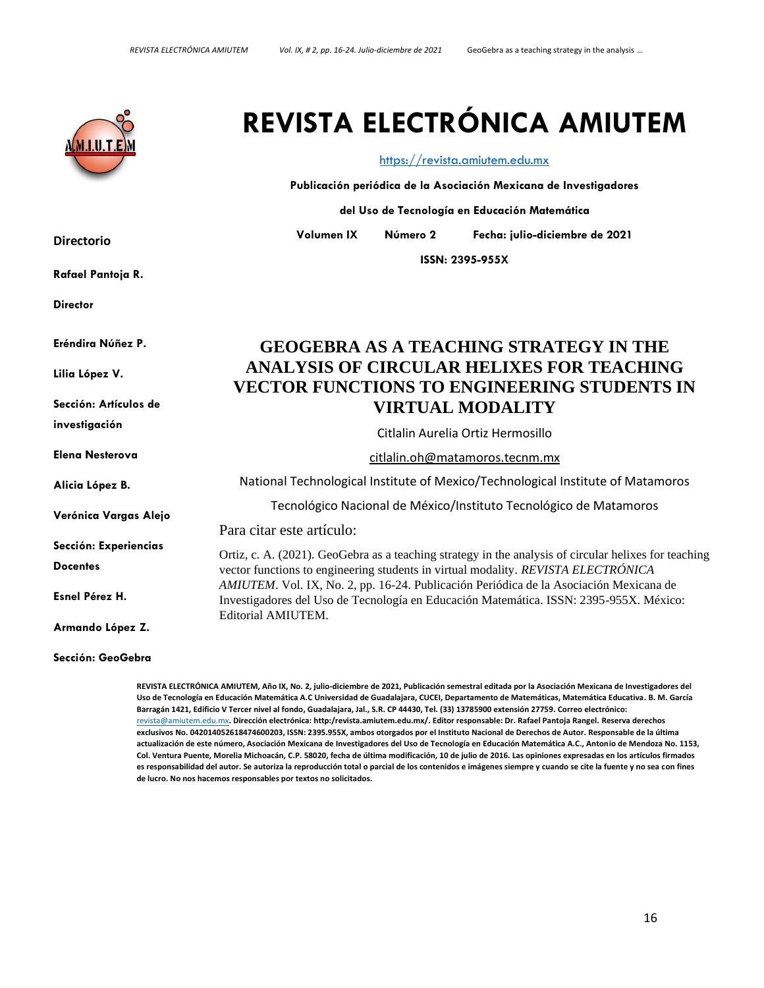

**Directorio**

**Rafael Pantoja R.**

**Director**

**Eréndira Núñez P.**

**Lilia López V.**

**Sección: Artículos de** 

**investigación**

**Elena Nesterova**

**Alicia López B.**

**Verónica Vargas Alejo**

**Sección: Experiencias** 

**Docentes**

**Esnel Pérez H.**

**Armando López Z.**

**Sección: GeoGebra**

**REVISTA ELECTRÓNICA AMIUTEM, Año IX, No. 2, julio-diciembre de 2021, Publicación semestral editada por la Asociación Mexicana de Investigadores del Uso de Tecnología en Educación Matemática A.C Universidad de Guadalajara, CUCEI, Departamento de Matemáticas, Matemática Educativa. B. M. García Barragán 1421, Edificio V Tercer nivel al fondo, Guadalajara, Jal., S.R. CP 44430, Tel. (33) 13785900 extensión 27759. Correo electrónico:**  [revista@amiutem.edu.mx](mailto:revista@amiutem.edu.mx)**. Dirección electrónica: http:/revista.amiutem.edu.mx/. Editor responsable: Dr. Rafael Pantoja Rangel. Reserva derechos exclusivos No. 042014052618474600203, ISSN: 2395.955X, ambos otorgados por el Instituto Nacional de Derechos de Autor. Responsable de la última actualización de este número, Asociación Mexicana de Investigadores del Uso de Tecnología en Educación Matemática A.C., Antonio de Mendoza No. 1153, Col. Ventura Puente, Morelia Michoacán, C.P. 58020, fecha de última modificación, 10 de julio de 2016. Las opiniones expresadas en los artículos firmados es responsabilidad del autor. Se autoriza la reproducción total o parcial de los contenidos e imágenes siempre y cuando se cite la fuente y no sea con fines de lucro. No nos hacemos responsables por textos no solicitados.**

# **REVISTA ELECTRÓNICA AMIUTEM**

#### [https://revista.amiutem.edu.mx](https://revista.amiutem.edu.mx/)

**Publicación periódica de la Asociación Mexicana de Investigadores**

**del Uso de Tecnología en Educación Matemática**

**Volumen IX Número 2 Fecha: julio-diciembre de 2021**

**ISSN: 2395-955X**

# **GEOGEBRA AS A TEACHING STRATEGY IN THE ANALYSIS OF CIRCULAR HELIXES FOR TEACHING VECTOR FUNCTIONS TO ENGINEERING STUDENTS IN VIRTUAL MODALITY**

Citlalin Aurelia Ortiz Hermosillo

[citlalin.oh@matamoros.tecnm.mx](mailto:citlalin.oh@matamoros.tecnm.mx)

National Technological Institute of Mexico/Technological Institute of Matamoros

Tecnológico Nacional de México/Instituto Tecnológico de Matamoros

Para citar este artículo:

Ortiz, c. A. (2021). GeoGebra as a teaching strategy in the analysis of circular helixes for teaching vector functions to engineering students in virtual modality*. REVISTA ELECTRÓNICA AMIUTEM*. Vol. IX, No. 2, pp. 16-24. Publicación Periódica de la Asociación Mexicana de Investigadores del Uso de Tecnología en Educación Matemática. ISSN: 2395-955X. México: Editorial AMIUTEM.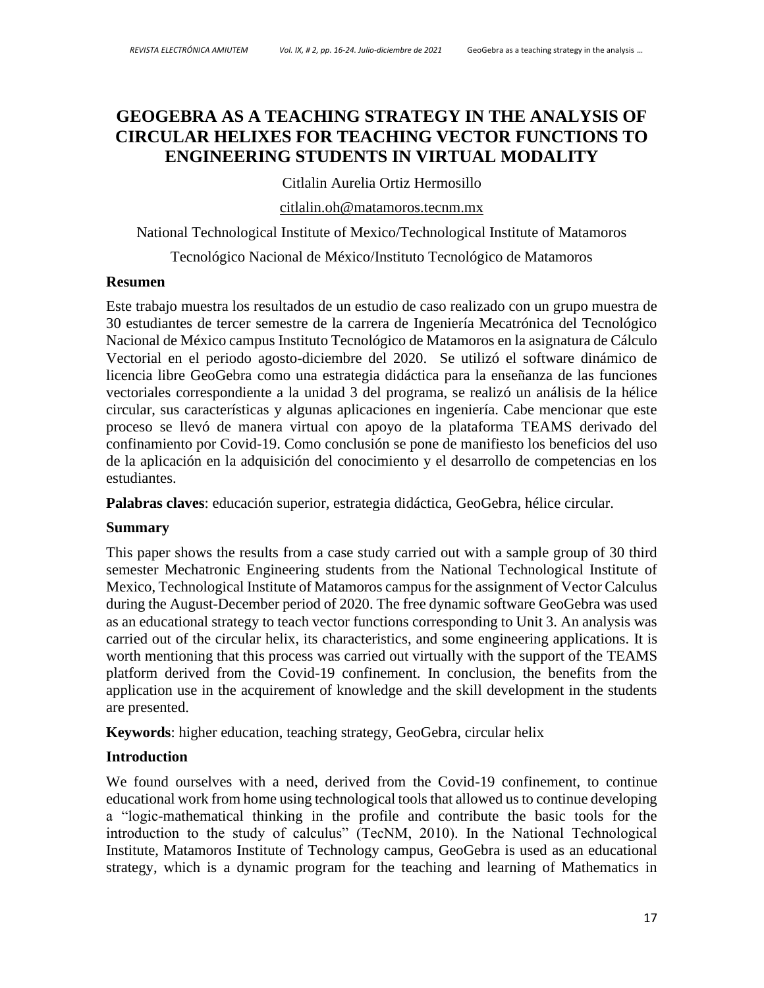# **GEOGEBRA AS A TEACHING STRATEGY IN THE ANALYSIS OF CIRCULAR HELIXES FOR TEACHING VECTOR FUNCTIONS TO ENGINEERING STUDENTS IN VIRTUAL MODALITY**

Citlalin Aurelia Ortiz Hermosillo

[citlalin.oh@matamoros.tecnm.mx](mailto:citlalin.oh@matamoros.tecnm.mx)

National Technological Institute of Mexico/Technological Institute of Matamoros

Tecnológico Nacional de México/Instituto Tecnológico de Matamoros

#### **Resumen**

Este trabajo muestra los resultados de un estudio de caso realizado con un grupo muestra de 30 estudiantes de tercer semestre de la carrera de Ingeniería Mecatrónica del Tecnológico Nacional de México campus Instituto Tecnológico de Matamoros en la asignatura de Cálculo Vectorial en el periodo agosto-diciembre del 2020. Se utilizó el software dinámico de licencia libre GeoGebra como una estrategia didáctica para la enseñanza de las funciones vectoriales correspondiente a la unidad 3 del programa, se realizó un análisis de la hélice circular, sus características y algunas aplicaciones en ingeniería. Cabe mencionar que este proceso se llevó de manera virtual con apoyo de la plataforma TEAMS derivado del confinamiento por Covid-19. Como conclusión se pone de manifiesto los beneficios del uso de la aplicación en la adquisición del conocimiento y el desarrollo de competencias en los estudiantes.

**Palabras claves**: educación superior, estrategia didáctica, GeoGebra, hélice circular.

#### **Summary**

This paper shows the results from a case study carried out with a sample group of 30 third semester Mechatronic Engineering students from the National Technological Institute of Mexico, Technological Institute of Matamoros campus for the assignment of Vector Calculus during the August-December period of 2020. The free dynamic software GeoGebra was used as an educational strategy to teach vector functions corresponding to Unit 3. An analysis was carried out of the circular helix, its characteristics, and some engineering applications. It is worth mentioning that this process was carried out virtually with the support of the TEAMS platform derived from the Covid-19 confinement. In conclusion, the benefits from the application use in the acquirement of knowledge and the skill development in the students are presented.

**Keywords**: higher education, teaching strategy, GeoGebra, circular helix

#### **Introduction**

We found ourselves with a need, derived from the Covid-19 confinement, to continue educational work from home using technological tools that allowed us to continue developing a "logic-mathematical thinking in the profile and contribute the basic tools for the introduction to the study of calculus" (TecNM, 2010). In the National Technological Institute, Matamoros Institute of Technology campus, GeoGebra is used as an educational strategy, which is a dynamic program for the teaching and learning of Mathematics in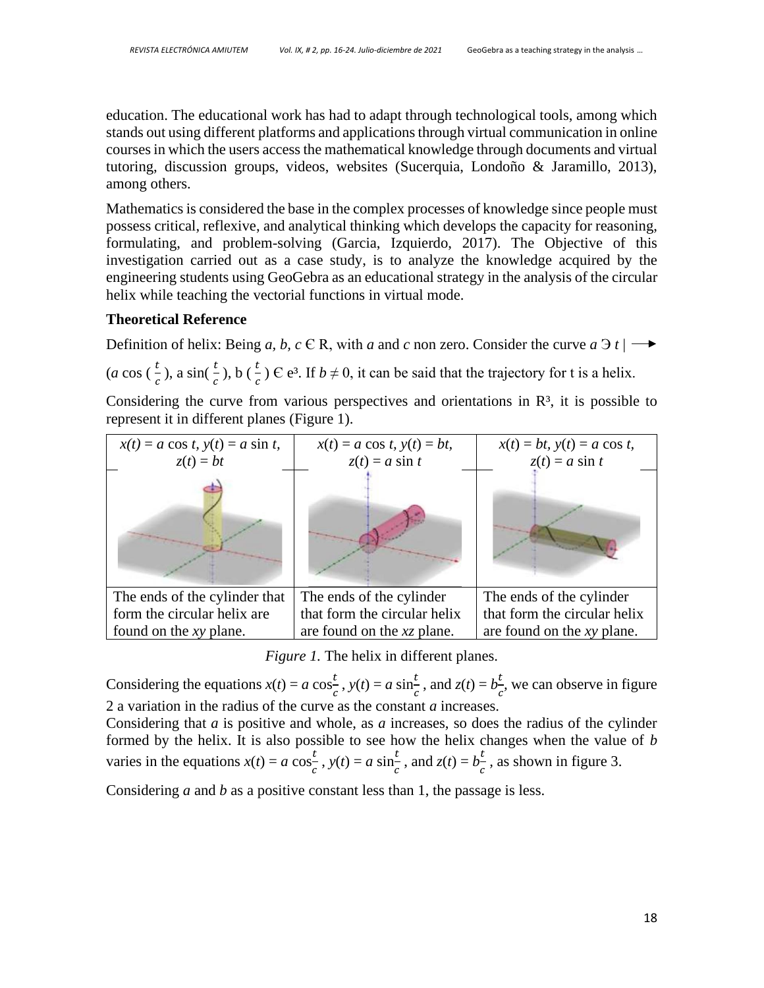education. The educational work has had to adapt through technological tools, among which stands out using different platforms and applications through virtual communication in online courses in which the users access the mathematical knowledge through documents and virtual tutoring, discussion groups, videos, websites (Sucerquia, Londoño & Jaramillo, 2013), among others.

Mathematics is considered the base in the complex processes of knowledge since people must possess critical, reflexive, and analytical thinking which develops the capacity for reasoning, formulating, and problem-solving (Garcia, Izquierdo, 2017). The Objective of this investigation carried out as a case study, is to analyze the knowledge acquired by the engineering students using GeoGebra as an educational strategy in the analysis of the circular helix while teaching the vectorial functions in virtual mode.

#### **Theoretical Reference**

Definition of helix: Being *a*, *b*, *c*  $\in$  R, with *a* and *c* non zero. Consider the curve *a*  $\exists$  *t*  $| \rightarrow \bullet \}$ 

(*a* cos ( $\frac{t}{c}$ ), a sin( $\frac{t}{c}$ ), b ( $\frac{t}{c}$ )  $\in$  e<sup>3</sup>. If  $b \neq 0$ , it can be said that the trajectory for t is a helix.

Considering the curve from various perspectives and orientations in  $\mathbb{R}^3$ , it is possible to represent it in different planes (Figure 1).



*Figure 1.* The helix in different planes.

Considering the equations  $x(t) = a \cos \frac{t}{2}$  $\frac{t}{c}$ ,  $y(t) = a \sin \frac{t}{c}$ , and  $z(t) = b \frac{t}{c}$  $\frac{1}{c}$ , we can observe in figure 2 a variation in the radius of the curve as the constant *a* increases.

Considering that *a* is positive and whole, as *a* increases, so does the radius of the cylinder formed by the helix. It is also possible to see how the helix changes when the value of *b*  varies in the equations  $x(t) = a \cos \frac{t}{2}$  $\frac{t}{c}$ ,  $y(t) = a \sin \frac{t}{c}$ , and  $z(t) = b \frac{t}{c}$  $\frac{1}{c}$ , as shown in figure 3.

Considering *a* and *b* as a positive constant less than 1, the passage is less.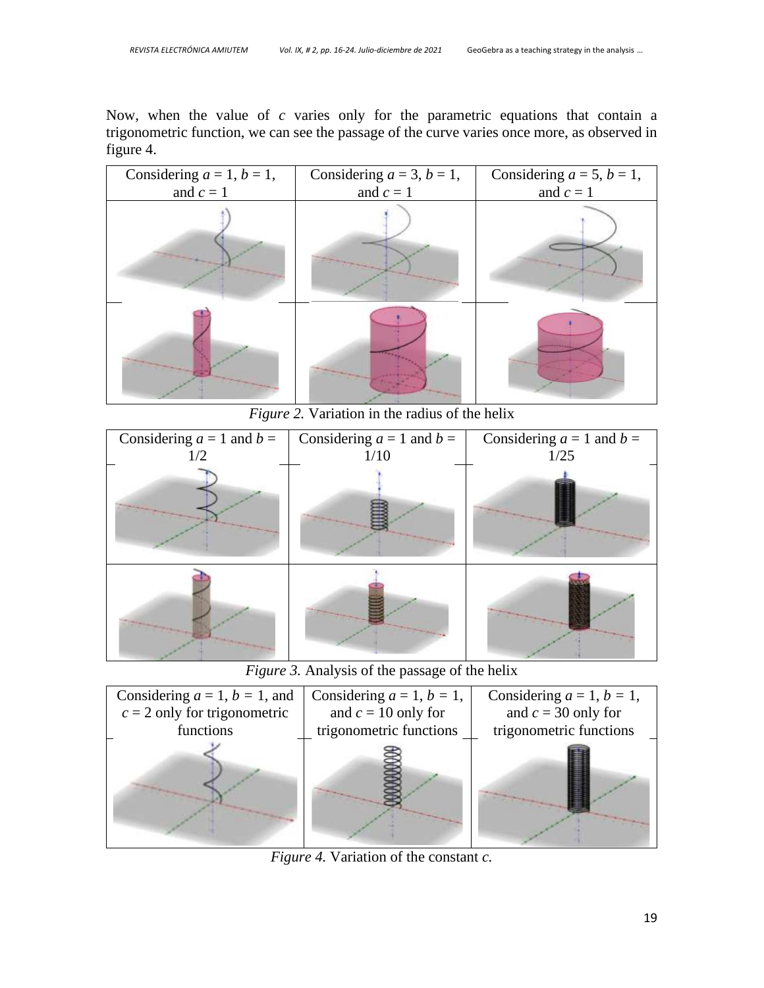Now, when the value of *c* varies only for the parametric equations that contain a trigonometric function, we can see the passage of the curve varies once more, as observed in figure 4.



*Figure 2.* Variation in the radius of the helix



*Figure 3.* Analysis of the passage of the helix



*Figure 4.* Variation of the constant *c.*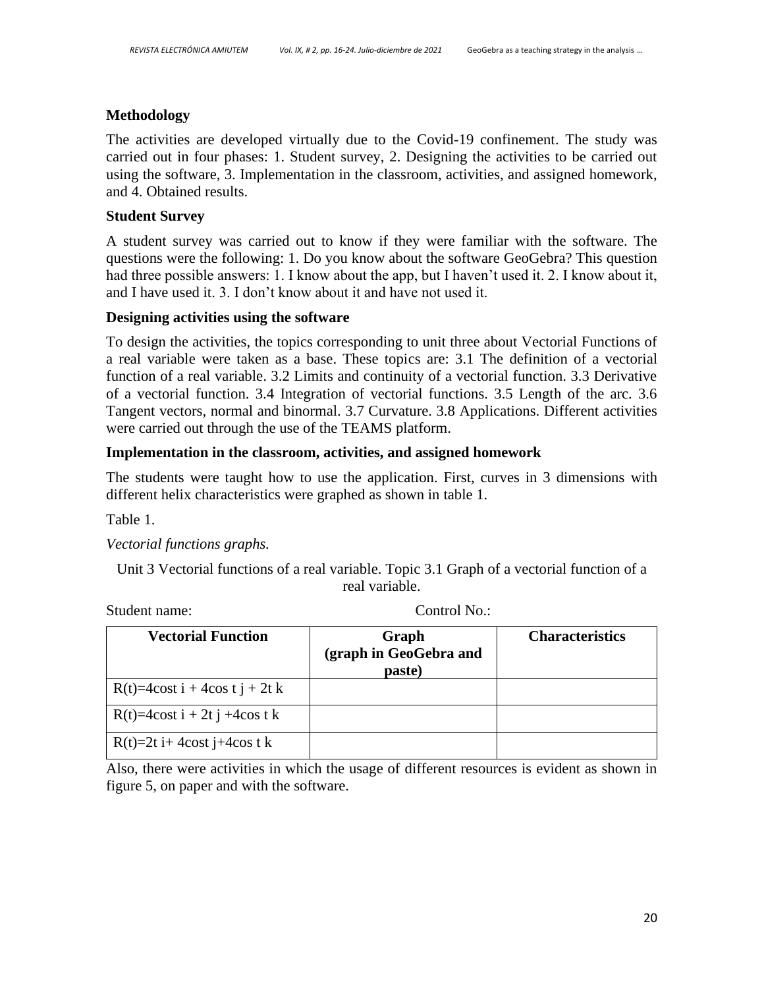#### **Methodology**

The activities are developed virtually due to the Covid-19 confinement. The study was carried out in four phases: 1. Student survey, 2. Designing the activities to be carried out using the software, 3. Implementation in the classroom, activities, and assigned homework, and 4. Obtained results.

#### **Student Survey**

A student survey was carried out to know if they were familiar with the software. The questions were the following: 1. Do you know about the software GeoGebra? This question had three possible answers: 1. I know about the app, but I haven't used it. 2. I know about it, and I have used it. 3. I don't know about it and have not used it.

#### **Designing activities using the software**

To design the activities, the topics corresponding to unit three about Vectorial Functions of a real variable were taken as a base. These topics are: 3.1 The definition of a vectorial function of a real variable. 3.2 Limits and continuity of a vectorial function. 3.3 Derivative of a vectorial function. 3.4 Integration of vectorial functions. 3.5 Length of the arc. 3.6 Tangent vectors, normal and binormal. 3.7 Curvature. 3.8 Applications. Different activities were carried out through the use of the TEAMS platform.

#### **Implementation in the classroom, activities, and assigned homework**

The students were taught how to use the application. First, curves in 3 dimensions with different helix characteristics were graphed as shown in table 1.

Table 1.

#### *Vectorial functions graphs.*

Unit 3 Vectorial functions of a real variable. Topic 3.1 Graph of a vectorial function of a real variable.

| <b>Vectorial Function</b>           | Graph<br>(graph in GeoGebra and<br>paste) | <b>Characteristics</b> |
|-------------------------------------|-------------------------------------------|------------------------|
| $R(t)=4\cos t i + 4\cos t j + 2t k$ |                                           |                        |
| $R(t)=4\cos t i + 2t j + 4\cos t k$ |                                           |                        |
| $R(t)=2t$ i+4cost j+4cos t k        |                                           |                        |

Student name: Control No.:

Also, there were activities in which the usage of different resources is evident as shown in figure 5, on paper and with the software.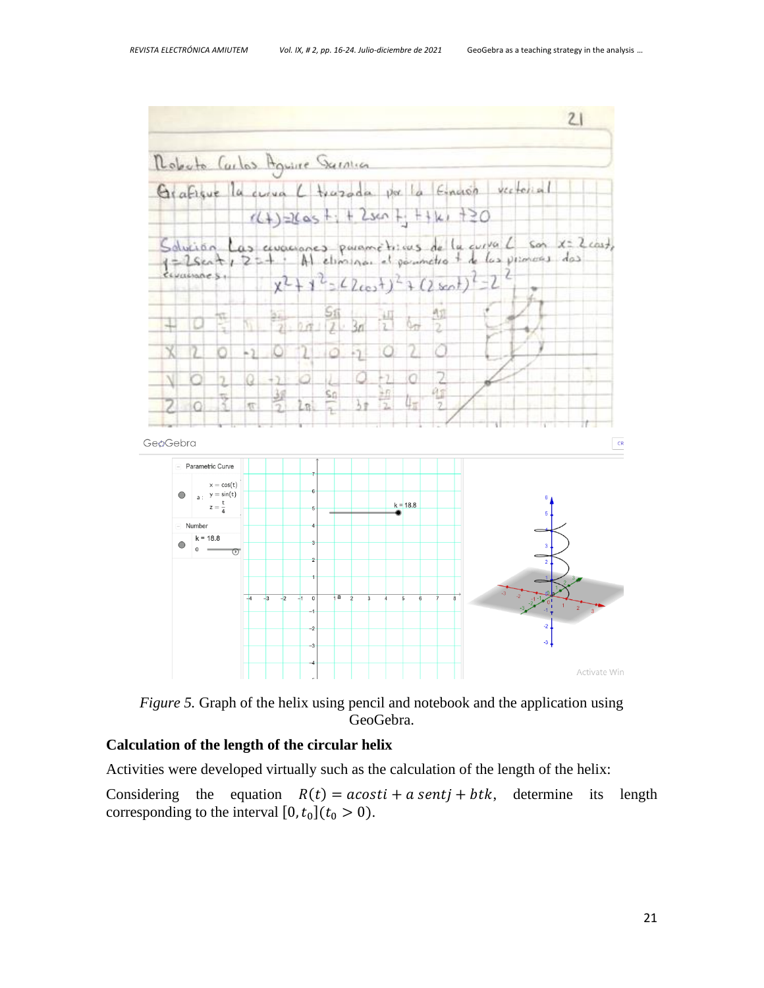



#### **Calculation of the length of the circular helix**

Activities were developed virtually such as the calculation of the length of the helix:

Considering the equation  $R(t) = acosti + a sentj + btk$ , determine its length corresponding to the interval  $[0, t_0](t_0 > 0)$ .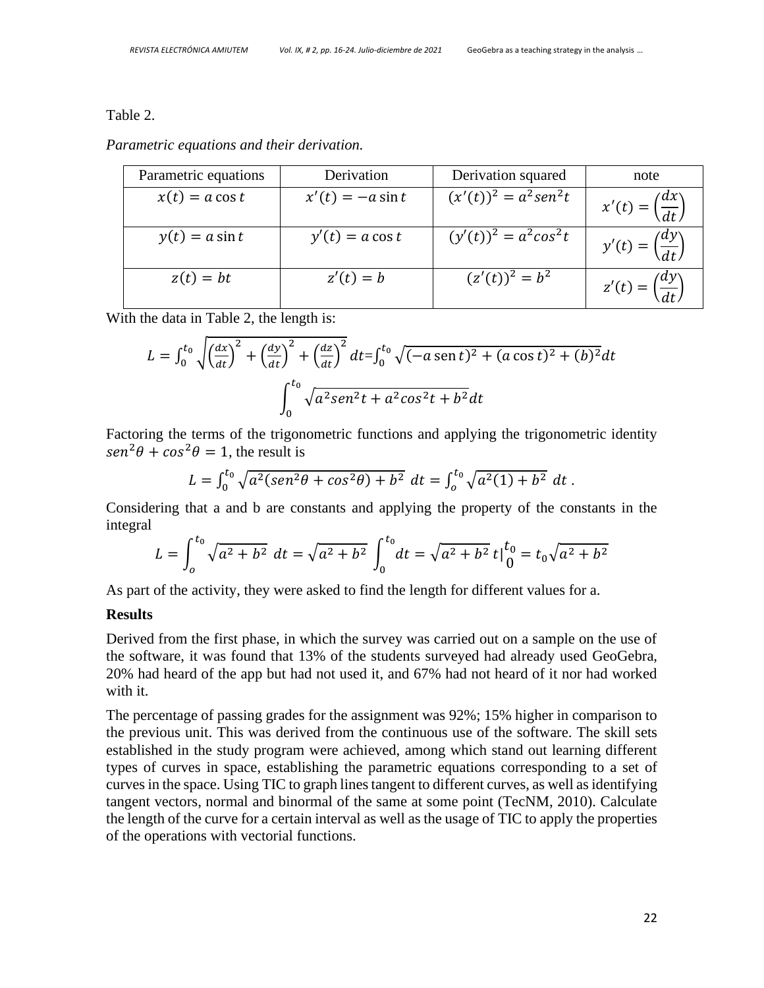#### Table 2.

*Parametric equations and their derivation.*

| Parametric equations | Derivation          | Derivation squared         | note                                 |
|----------------------|---------------------|----------------------------|--------------------------------------|
| $x(t) = a \cos t$    | $x'(t) = -a \sin t$ | $(x'(t))^2 = a^2 \sin^2 t$ | $x'(t) = \left(\frac{dx}{dt}\right)$ |
| $y(t) = a \sin t$    | $y'(t) = a \cos t$  | $(y'(t))^2 = a^2 \cos^2 t$ | $y'(t) = \left(\frac{dy}{dt}\right)$ |
| $z(t) = bt$          | $z'(t) = b$         | $(z'(t))^2 = b^2$          | $z'(t) = \left(\frac{dy}{dt}\right)$ |

With the data in Table 2, the length is:

$$
L = \int_0^{t_0} \sqrt{\left(\frac{dx}{dt}\right)^2 + \left(\frac{dy}{dt}\right)^2 + \left(\frac{dz}{dt}\right)^2} dt = \int_0^{t_0} \sqrt{(-a \operatorname{sen} t)^2 + (a \cos t)^2 + (b)^2} dt
$$

$$
\int_0^{t_0} \sqrt{a^2 \operatorname{sen}^2 t + a^2 \cos^2 t + b^2} dt
$$

Factoring the terms of the trigonometric functions and applying the trigonometric identity  $\sin^2 \theta + \cos^2 \theta = 1$ , the result is

$$
L = \int_0^{t_0} \sqrt{a^2(\sin^2\theta + \cos^2\theta) + b^2} \ dt = \int_0^{t_0} \sqrt{a^2(1) + b^2} \ dt \ .
$$

Considering that a and b are constants and applying the property of the constants in the integral

$$
L = \int_0^{t_0} \sqrt{a^2 + b^2} \ dt = \sqrt{a^2 + b^2} \int_0^{t_0} dt = \sqrt{a^2 + b^2} \ t \Big|_0^{t_0} = t_0 \sqrt{a^2 + b^2}
$$

As part of the activity, they were asked to find the length for different values for a.

#### **Results**

Derived from the first phase, in which the survey was carried out on a sample on the use of the software, it was found that 13% of the students surveyed had already used GeoGebra, 20% had heard of the app but had not used it, and 67% had not heard of it nor had worked with it.

The percentage of passing grades for the assignment was 92%; 15% higher in comparison to the previous unit. This was derived from the continuous use of the software. The skill sets established in the study program were achieved, among which stand out learning different types of curves in space, establishing the parametric equations corresponding to a set of curves in the space. Using TIC to graph lines tangent to different curves, as well as identifying tangent vectors, normal and binormal of the same at some point (TecNM, 2010). Calculate the length of the curve for a certain interval as well as the usage of TIC to apply the properties of the operations with vectorial functions.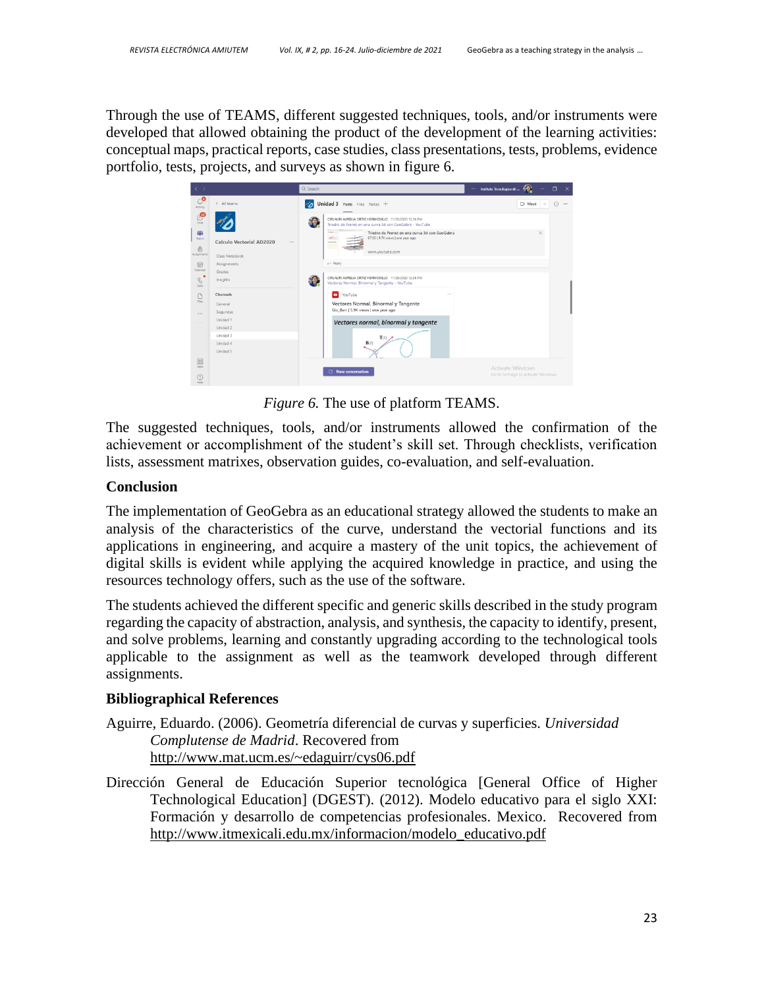Through the use of TEAMS, different suggested techniques, tools, and/or instruments were developed that allowed obtaining the product of the development of the learning activities: conceptual maps, practical reports, case studies, class presentations, tests, problems, evidence portfolio, tests, projects, and surveys as shown in figure 6.

| $\langle \quad \rangle$                                                   |                                                      | Q Search                                                                                                                                                 | $\Box$<br>$\overline{\mathbf{x}}$<br>Instituto Tecnologico de  |
|---------------------------------------------------------------------------|------------------------------------------------------|----------------------------------------------------------------------------------------------------------------------------------------------------------|----------------------------------------------------------------|
| $\mathbb{C}^\mathbf{O}$<br>Activity                                       | < All teams                                          | $\mathscr{A}_{\mathbf{\Delta}}$<br>Unidad 3 Posts Files Notes +                                                                                          | ⋒<br>□ Meet<br>$\cdots$<br>$\sim$                              |
| $\bigcup_{\Box\in\mathcal{A}}$                                            |                                                      | CITLALIN AURELIA ORTIZ HERMOSILLO 11/26/2020 12:36 PM<br>62<br>Triedro de Frenet en una curva 3d con GeoGebra - YouTube                                  |                                                                |
| 带<br>Teams<br>⊜<br>Assignments                                            | Calculo Vectorial AD2020<br>$\sim$<br>Class Notebook | $\frac{1}{2}$<br>Triedro de Frenet en una curva 3d con GeoGebra<br>07:50   4.7K views   one year ago<br><b>SALE</b><br><b>GALAXIA</b><br>www.youtube.com | $\times$                                                       |
| $\boxplus$                                                                | Assignments                                          | $\leftarrow$ Reply                                                                                                                                       |                                                                |
| Calendar                                                                  | Grades                                               | CITLALIN AURELIA ORTIZ HERMOSILLO 11/26/2020 12:36 PM                                                                                                    |                                                                |
| $\mathcal{C}$<br>Calls                                                    | Insights                                             | 89.<br>Vectores Normal. Binormal y Tangente - YouTube                                                                                                    |                                                                |
| $\Box$                                                                    | Channels                                             | VouTube<br>1.11                                                                                                                                          |                                                                |
| Files                                                                     | General                                              | Vectores Normal, Binormal y Tangente                                                                                                                     |                                                                |
| 1.11                                                                      | Segundas                                             | Gio Barr   5.9K views   one year ago                                                                                                                     |                                                                |
|                                                                           | Unidad 1                                             | Vectores normal, binormal y tangente                                                                                                                     |                                                                |
|                                                                           | Unidad 2<br>Unidad 3                                 |                                                                                                                                                          |                                                                |
|                                                                           | Unidad 4                                             | T(I)<br>B(r)                                                                                                                                             |                                                                |
|                                                                           | Unidad 5                                             |                                                                                                                                                          |                                                                |
| $\begin{bmatrix} 0 & 0 \\ 0 & 0 \end{bmatrix}$<br>Apps<br>$\odot$<br>Help |                                                      | □ New conversation                                                                                                                                       | <b>Activate Windows</b><br>Go to Settings to activate Windows. |

*Figure 6.* The use of platform TEAMS.

The suggested techniques, tools, and/or instruments allowed the confirmation of the achievement or accomplishment of the student's skill set. Through checklists, verification lists, assessment matrixes, observation guides, co-evaluation, and self-evaluation.

### **Conclusion**

The implementation of GeoGebra as an educational strategy allowed the students to make an analysis of the characteristics of the curve, understand the vectorial functions and its applications in engineering, and acquire a mastery of the unit topics, the achievement of digital skills is evident while applying the acquired knowledge in practice, and using the resources technology offers, such as the use of the software.

The students achieved the different specific and generic skills described in the study program regarding the capacity of abstraction, analysis, and synthesis, the capacity to identify, present, and solve problems, learning and constantly upgrading according to the technological tools applicable to the assignment as well as the teamwork developed through different assignments.

## **Bibliographical References**

Aguirre, Eduardo. (2006). Geometría diferencial de curvas y superficies. *Universidad Complutense de Madrid*. Recovered from <http://www.mat.ucm.es/~edaguirr/cys06.pdf>

Dirección General de Educación Superior tecnológica [General Office of Higher Technological Education] (DGEST). (2012). Modelo educativo para el siglo XXI: Formación y desarrollo de competencias profesionales. Mexico. Recovered from [http://www.itmexicali.edu.mx/informacion/modelo\\_educativo.pdf](http://www.itmexicali.edu.mx/informacion/modelo_educativo.pdf)